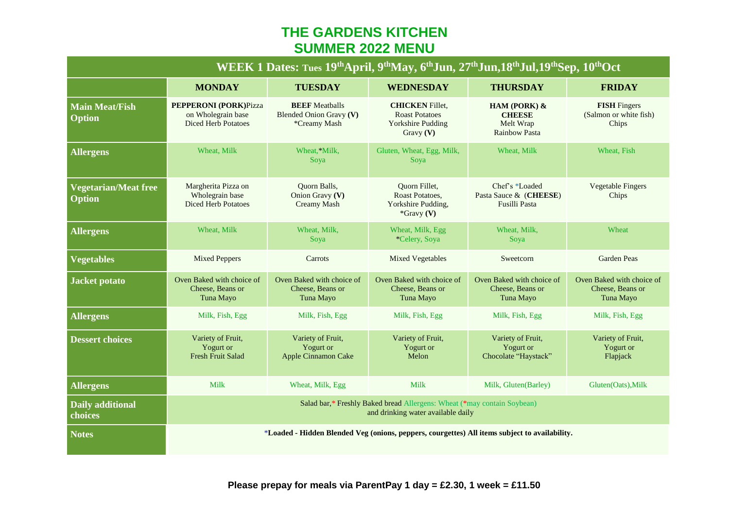## **THE GARDENS KITCHEN SUMMER 2022 MENU**

| WEEK 1 Dates: Tues 19 <sup>th</sup> April, 9 <sup>th</sup> May, 6 <sup>th</sup> Jun, 27 <sup>th</sup> Jun, 18 <sup>th</sup> Jul, 19 <sup>th</sup> Sep, 10 <sup>th</sup> Oct |                                                                                                               |                                                                  |                                                                                          |                                                                    |                                                            |  |  |
|-----------------------------------------------------------------------------------------------------------------------------------------------------------------------------|---------------------------------------------------------------------------------------------------------------|------------------------------------------------------------------|------------------------------------------------------------------------------------------|--------------------------------------------------------------------|------------------------------------------------------------|--|--|
|                                                                                                                                                                             | <b>MONDAY</b>                                                                                                 | <b>TUESDAY</b>                                                   | <b>WEDNESDAY</b>                                                                         | <b>THURSDAY</b>                                                    | <b>FRIDAY</b>                                              |  |  |
| <b>Main Meat/Fish</b><br><b>Option</b>                                                                                                                                      | <b>PEPPERONI (PORK)Pizza</b><br>on Wholegrain base<br><b>Diced Herb Potatoes</b>                              | <b>BEEF</b> Meatballs<br>Blended Onion Gravy (V)<br>*Creamy Mash | <b>CHICKEN</b> Fillet,<br><b>Roast Potatoes</b><br><b>Yorkshire Pudding</b><br>Gravy (V) | HAM (PORK) &<br><b>CHEESE</b><br>Melt Wrap<br><b>Rainbow Pasta</b> | <b>FISH</b> Fingers<br>(Salmon or white fish)<br>Chips     |  |  |
| <b>Allergens</b>                                                                                                                                                            | Wheat, Milk                                                                                                   | Wheat.*Milk.<br>Soya                                             | Gluten, Wheat, Egg, Milk,<br>Soya                                                        | Wheat, Milk                                                        | Wheat, Fish                                                |  |  |
| <b>Vegetarian/Meat free</b><br><b>Option</b>                                                                                                                                | Margherita Pizza on<br>Wholegrain base<br><b>Diced Herb Potatoes</b>                                          | <b>Ouorn Balls,</b><br>Onion Gravy (V)<br>Creamy Mash            | Quorn Fillet,<br>Roast Potatoes,<br>Yorkshire Pudding,<br>$*$ Gravy (V)                  | Chef's *Loaded<br>Pasta Sauce & (CHEESE)<br>Fusilli Pasta          | <b>Vegetable Fingers</b><br>Chips                          |  |  |
| <b>Allergens</b>                                                                                                                                                            | Wheat, Milk                                                                                                   | Wheat, Milk,<br>Soya                                             | Wheat, Milk, Egg<br>*Celery, Soya                                                        | Wheat, Milk,<br>Soya                                               | Wheat                                                      |  |  |
| <b>Vegetables</b>                                                                                                                                                           | <b>Mixed Peppers</b>                                                                                          | Carrots                                                          | <b>Mixed Vegetables</b>                                                                  | Sweetcorn                                                          | <b>Garden Peas</b>                                         |  |  |
| <b>Jacket potato</b>                                                                                                                                                        | Oven Baked with choice of<br>Cheese, Beans or<br>Tuna Mayo                                                    | Oven Baked with choice of<br>Cheese, Beans or<br>Tuna Mayo       | Oven Baked with choice of<br>Cheese, Beans or<br>Tuna Mayo                               | Oven Baked with choice of<br>Cheese, Beans or<br>Tuna Mayo         | Oven Baked with choice of<br>Cheese, Beans or<br>Tuna Mayo |  |  |
| <b>Allergens</b>                                                                                                                                                            | Milk, Fish, Egg                                                                                               | Milk, Fish, Egg                                                  | Milk, Fish, Egg                                                                          | Milk, Fish, Egg                                                    | Milk, Fish, Egg                                            |  |  |
| <b>Dessert choices</b>                                                                                                                                                      | Variety of Fruit,<br>Yogurt or<br><b>Fresh Fruit Salad</b>                                                    | Variety of Fruit,<br>Yogurt or<br><b>Apple Cinnamon Cake</b>     | Variety of Fruit,<br>Yogurt or<br>Melon                                                  | Variety of Fruit,<br>Yogurt or<br>Chocolate "Haystack"             | Variety of Fruit,<br>Yogurt or<br>Flapjack                 |  |  |
| <b>Allergens</b>                                                                                                                                                            | Milk                                                                                                          | Wheat, Milk, Egg                                                 | Milk                                                                                     | Milk, Gluten(Barley)                                               | Gluten(Oats), Milk                                         |  |  |
| Daily additional<br>choices                                                                                                                                                 | Salad bar,* Freshly Baked bread Allergens: Wheat (*may contain Soybean)<br>and drinking water available daily |                                                                  |                                                                                          |                                                                    |                                                            |  |  |
| <b>Notes</b>                                                                                                                                                                | *Loaded - Hidden Blended Veg (onions, peppers, courgettes) All items subject to availability.                 |                                                                  |                                                                                          |                                                                    |                                                            |  |  |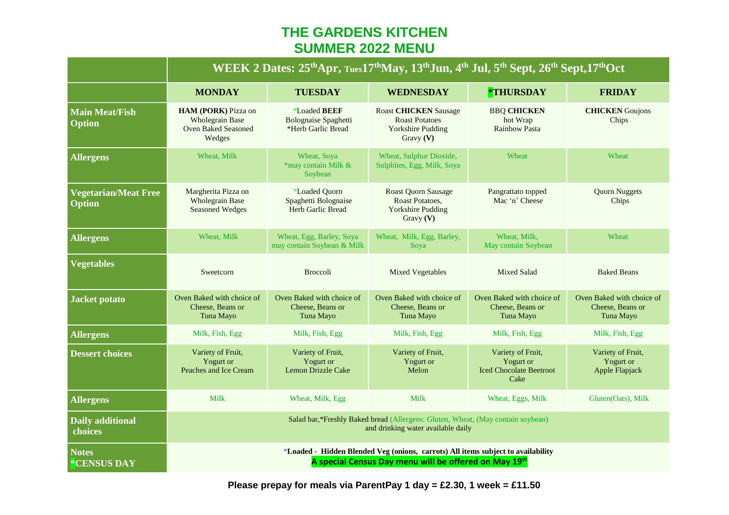## **THE GARDENS KITCHEN SUMMER 2022 MENU**

|                                              | WEEK 2 Dates: 25 <sup>th</sup> Apr, Tues17 <sup>th</sup> May, 13 <sup>th</sup> Jun, 4 <sup>th</sup> Jul, 5 <sup>th</sup> Sept, 26 <sup>th</sup> Sept, 17 <sup>th</sup> Oct |                                                                   |                                                                                                |                                                                          |                                                            |  |
|----------------------------------------------|----------------------------------------------------------------------------------------------------------------------------------------------------------------------------|-------------------------------------------------------------------|------------------------------------------------------------------------------------------------|--------------------------------------------------------------------------|------------------------------------------------------------|--|
|                                              | <b>MONDAY</b>                                                                                                                                                              | <b>TUESDAY</b>                                                    | <b>WEDNESDAY</b>                                                                               | *THURSDAY                                                                | <b>FRIDAY</b>                                              |  |
| <b>Main Meat/Fish</b><br><b>Option</b>       | HAM (PORK) Pizza on<br><b>Wholegrain Base</b><br>Oven Baked Seasoned<br>Wedges                                                                                             | *Loaded BEEF<br><b>Bolognaise Spaghetti</b><br>*Herb Garlic Bread | <b>Roast CHICKEN Sausage</b><br><b>Roast Potatoes</b><br><b>Yorkshire Pudding</b><br>Gravy (V) | <b>BBQ CHICKEN</b><br>hot Wrap<br><b>Rainbow Pasta</b>                   | <b>CHICKEN</b> Goujons<br>Chips                            |  |
| <b>Allergens</b>                             | Wheat, Milk                                                                                                                                                                | Wheat, Soya<br>*may contain Milk &<br>Soybean                     | Wheat, Sulphur Dioxide,<br>Sulphites, Egg, Milk, Soya                                          | Wheat                                                                    | Wheat                                                      |  |
| <b>Vegetarian/Meat Free</b><br><b>Option</b> | Margherita Pizza on<br><b>Wholegrain Base</b><br><b>Seasoned Wedges</b>                                                                                                    | *Loaded Ouorn<br>Spaghetti Bolognaise<br>Herb Garlic Bread        | <b>Roast Quorn Sausage</b><br>Roast Potatoes,<br><b>Yorkshire Pudding</b><br>Gravy $(V)$       | Pangrattato topped<br>Mac 'n' Cheese                                     | <b>Quorn Nuggets</b><br>Chips                              |  |
| <b>Allergens</b>                             | Wheat, Milk                                                                                                                                                                | Wheat, Egg, Barley, Soya<br>may contain Soybean & Milk            | Wheat, Milk, Egg, Barley,<br>Soya                                                              | Wheat, Milk,<br>May contain Soybean                                      | Wheat                                                      |  |
| <b>Vegetables</b>                            | Sweetcorn                                                                                                                                                                  | <b>Broccoli</b>                                                   | <b>Mixed Vegetables</b>                                                                        | <b>Mixed Salad</b>                                                       | <b>Baked Beans</b>                                         |  |
| <b>Jacket potato</b>                         | Oven Baked with choice of<br>Cheese, Beans or<br>Tuna Mayo                                                                                                                 | Oven Baked with choice of<br>Cheese, Beans or<br>Tuna Mayo        | Oven Baked with choice of<br>Cheese, Beans or<br>Tuna Mayo                                     | Oven Baked with choice of<br>Cheese, Beans or<br>Tuna Mayo               | Oven Baked with choice of<br>Cheese, Beans or<br>Tuna Mayo |  |
| <b>Allergens</b>                             | Milk, Fish, Egg                                                                                                                                                            | Milk, Fish, Egg                                                   | Milk, Fish, Egg                                                                                | Milk, Fish, Egg                                                          | Milk, Fish, Egg                                            |  |
| <b>Dessert choices</b>                       | Variety of Fruit,<br>Yogurt or<br>Peaches and Ice Cream                                                                                                                    | Variety of Fruit,<br>Yogurt or<br><b>Lemon Drizzle Cake</b>       | Variety of Fruit,<br>Yogurt or<br>Melon                                                        | Variety of Fruit,<br>Yogurt or<br><b>Iced Chocolate Beetroot</b><br>Cake | Variety of Fruit,<br>Yogurt or<br>Apple Flapjack           |  |
| <b>Allergens</b>                             | <b>Milk</b>                                                                                                                                                                | Wheat, Milk, Egg                                                  | <b>Milk</b>                                                                                    | Wheat, Eggs, Milk                                                        | Gluten(Oats), Milk                                         |  |
| <b>Daily additional</b><br>choices           | Salad bar,*Freshly Baked bread (Allergens: Gluten, Wheat, (May contain soybean)<br>and drinking water available daily                                                      |                                                                   |                                                                                                |                                                                          |                                                            |  |
| <b>Notes</b><br>*CENSUS DAY                  | *Loaded - Hidden Blended Veg (onions, carrots) All items subject to availability<br>A special Census Day menu will be offered on May 19th                                  |                                                                   |                                                                                                |                                                                          |                                                            |  |